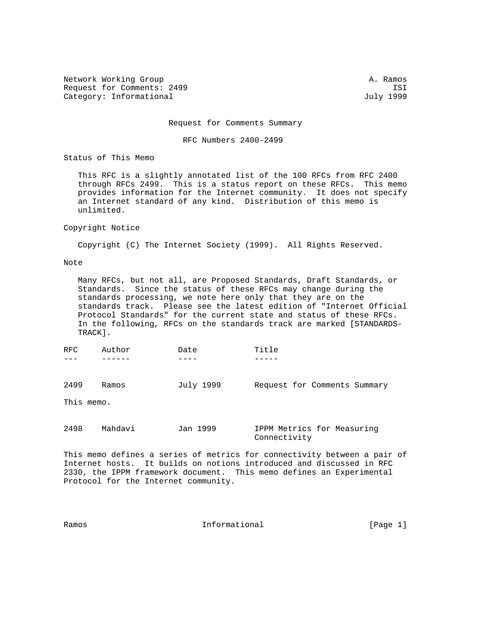Network Working Group and the set of the set of the set of the set of the set of the set of the set of the set of the set of the set of the set of the set of the set of the set of the set of the set of the set of the set o Request for Comments: 2499 ISI<br>Category: Informational and Category: Informational and Category: Informational Category: Informational

Request for Comments Summary

RFC Numbers 2400-2499

Status of This Memo

 This RFC is a slightly annotated list of the 100 RFCs from RFC 2400 through RFCs 2499. This is a status report on these RFCs. This memo provides information for the Internet community. It does not specify an Internet standard of any kind. Distribution of this memo is unlimited.

## Copyright Notice

Copyright (C) The Internet Society (1999). All Rights Reserved.

## Note

 Many RFCs, but not all, are Proposed Standards, Draft Standards, or Standards. Since the status of these RFCs may change during the standards processing, we note here only that they are on the standards track. Please see the latest edition of "Internet Official Protocol Standards" for the current state and status of these RFCs. In the following, RFCs on the standards track are marked [STANDARDS- TRACK].

| RFC                | Author  | Date      | Title                        |
|--------------------|---------|-----------|------------------------------|
| 2499<br>This memo. | Ramos   | July 1999 | Request for Comments Summary |
|                    |         |           |                              |
| 2498               | Mahdavi | Jan 1999  | IPPM Metrics for Measuring   |

This memo defines a series of metrics for connectivity between a pair of Internet hosts. It builds on notions introduced and discussed in RFC 2330, the IPPM framework document. This memo defines an Experimental Protocol for the Internet community.

Connectivity

| Ramos | Informational | [Page 1] |  |
|-------|---------------|----------|--|
|       |               |          |  |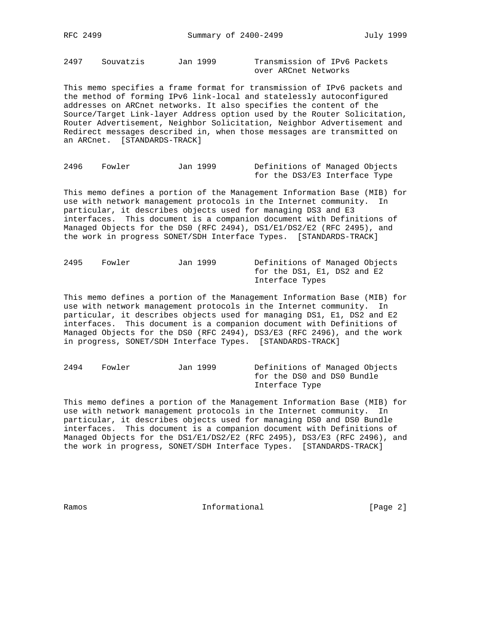2497 Souvatzis Jan 1999 Transmission of IPv6 Packets over ARCnet Networks

This memo specifies a frame format for transmission of IPv6 packets and the method of forming IPv6 link-local and statelessly autoconfigured addresses on ARCnet networks. It also specifies the content of the Source/Target Link-layer Address option used by the Router Solicitation, Router Advertisement, Neighbor Solicitation, Neighbor Advertisement and Redirect messages described in, when those messages are transmitted on an ARCnet. [STANDARDS-TRACK]

2496 Fowler Jan 1999 Definitions of Managed Objects for the DS3/E3 Interface Type

This memo defines a portion of the Management Information Base (MIB) for use with network management protocols in the Internet community. In particular, it describes objects used for managing DS3 and E3 interfaces. This document is a companion document with Definitions of Managed Objects for the DS0 (RFC 2494), DS1/E1/DS2/E2 (RFC 2495), and the work in progress SONET/SDH Interface Types. [STANDARDS-TRACK]

2495 Fowler Jan 1999 Definitions of Managed Objects for the DS1, E1, DS2 and E2 Interface Types

This memo defines a portion of the Management Information Base (MIB) for use with network management protocols in the Internet community. In particular, it describes objects used for managing DS1, E1, DS2 and E2 interfaces. This document is a companion document with Definitions of Managed Objects for the DS0 (RFC 2494), DS3/E3 (RFC 2496), and the work in progress, SONET/SDH Interface Types. [STANDARDS-TRACK]

2494 Fowler Jan 1999 Definitions of Managed Objects for the DS0 and DS0 Bundle Interface Type

This memo defines a portion of the Management Information Base (MIB) for use with network management protocols in the Internet community. In particular, it describes objects used for managing DS0 and DS0 Bundle interfaces. This document is a companion document with Definitions of Managed Objects for the DS1/E1/DS2/E2 (RFC 2495), DS3/E3 (RFC 2496), and the work in progress, SONET/SDH Interface Types. [STANDARDS-TRACK]

Ramos **Informational Informational** [Page 2]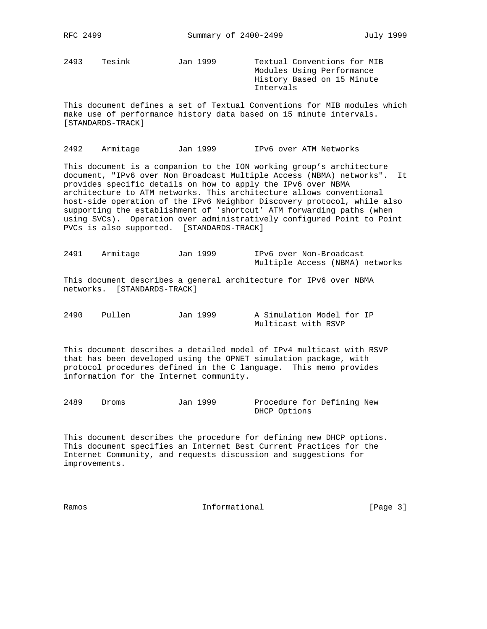2493 Tesink Jan 1999 Textual Conventions for MIB

 Modules Using Performance History Based on 15 Minute Intervals

This document defines a set of Textual Conventions for MIB modules which make use of performance history data based on 15 minute intervals. [STANDARDS-TRACK]

2492 Armitage Jan 1999 IPv6 over ATM Networks

This document is a companion to the ION working group's architecture document, "IPv6 over Non Broadcast Multiple Access (NBMA) networks". It provides specific details on how to apply the IPv6 over NBMA architecture to ATM networks. This architecture allows conventional host-side operation of the IPv6 Neighbor Discovery protocol, while also supporting the establishment of 'shortcut' ATM forwarding paths (when using SVCs). Operation over administratively configured Point to Point PVCs is also supported. [STANDARDS-TRACK]

2491 Armitage Jan 1999 IPv6 over Non-Broadcast Multiple Access (NBMA) networks

This document describes a general architecture for IPv6 over NBMA networks. [STANDARDS-TRACK]

2490 Pullen Jan 1999 A Simulation Model for IP Multicast with RSVP

This document describes a detailed model of IPv4 multicast with RSVP that has been developed using the OPNET simulation package, with protocol procedures defined in the C language. This memo provides information for the Internet community.

2489 Droms Jan 1999 Procedure for Defining New DHCP Options

This document describes the procedure for defining new DHCP options. This document specifies an Internet Best Current Practices for the Internet Community, and requests discussion and suggestions for improvements.

Ramos **Informational Informational** [Page 3]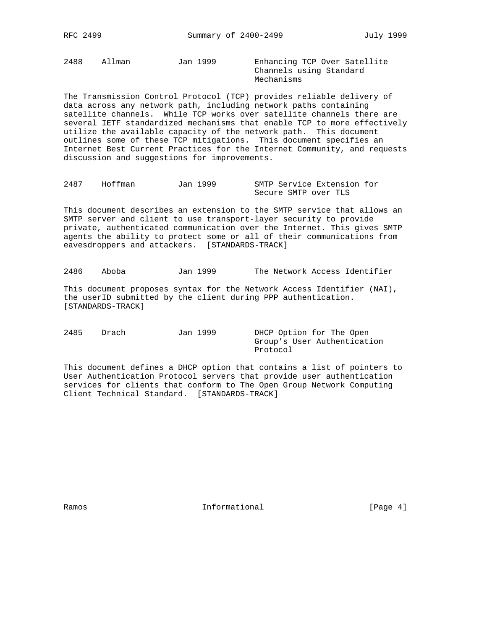2488 Allman Jan 1999 Enhancing TCP Over Satellite

 Channels using Standard Mechanisms

The Transmission Control Protocol (TCP) provides reliable delivery of data across any network path, including network paths containing satellite channels. While TCP works over satellite channels there are several IETF standardized mechanisms that enable TCP to more effectively utilize the available capacity of the network path. This document outlines some of these TCP mitigations. This document specifies an Internet Best Current Practices for the Internet Community, and requests discussion and suggestions for improvements.

2487 Hoffman Jan 1999 SMTP Service Extension for Secure SMTP over TLS

This document describes an extension to the SMTP service that allows an SMTP server and client to use transport-layer security to provide private, authenticated communication over the Internet. This gives SMTP agents the ability to protect some or all of their communications from eavesdroppers and attackers. [STANDARDS-TRACK]

2486 Aboba Jan 1999 The Network Access Identifier

This document proposes syntax for the Network Access Identifier (NAI), the userID submitted by the client during PPP authentication. [STANDARDS-TRACK]

| 2485 | Drach | Jan 1999 | DHCP Option for The Open    |
|------|-------|----------|-----------------------------|
|      |       |          | Group's User Authentication |
|      |       |          | Protocol                    |

This document defines a DHCP option that contains a list of pointers to User Authentication Protocol servers that provide user authentication services for clients that conform to The Open Group Network Computing Client Technical Standard. [STANDARDS-TRACK]

Ramos **Informational Informational** [Page 4]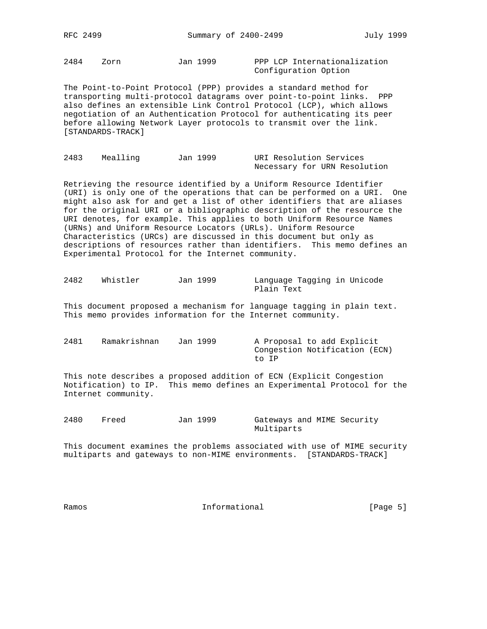2484 Zorn Jan 1999 PPP LCP Internationalization

Configuration Option

The Point-to-Point Protocol (PPP) provides a standard method for transporting multi-protocol datagrams over point-to-point links. PPP also defines an extensible Link Control Protocol (LCP), which allows negotiation of an Authentication Protocol for authenticating its peer before allowing Network Layer protocols to transmit over the link. [STANDARDS-TRACK]

| 2483 | Mealling | Jan 1999 | URI Resolution Services |  |                              |
|------|----------|----------|-------------------------|--|------------------------------|
|      |          |          |                         |  | Necessary for URN Resolution |

Retrieving the resource identified by a Uniform Resource Identifier (URI) is only one of the operations that can be performed on a URI. One might also ask for and get a list of other identifiers that are aliases for the original URI or a bibliographic description of the resource the URI denotes, for example. This applies to both Uniform Resource Names (URNs) and Uniform Resource Locators (URLs). Uniform Resource Characteristics (URCs) are discussed in this document but only as descriptions of resources rather than identifiers. This memo defines an Experimental Protocol for the Internet community.

| 2482 | Whistler | Jan 1999 | Language Tagging in Unicode |  |  |
|------|----------|----------|-----------------------------|--|--|
|      |          |          | Plain Text                  |  |  |

This document proposed a mechanism for language tagging in plain text. This memo provides information for the Internet community.

2481 Ramakrishnan Jan 1999 A Proposal to add Explicit Congestion Notification (ECN) to IP

This note describes a proposed addition of ECN (Explicit Congestion Notification) to IP. This memo defines an Experimental Protocol for the Internet community.

2480 Freed Jan 1999 Gateways and MIME Security Multiparts

This document examines the problems associated with use of MIME security multiparts and gateways to non-MIME environments. [STANDARDS-TRACK]

Ramos **Informational Informational** [Page 5]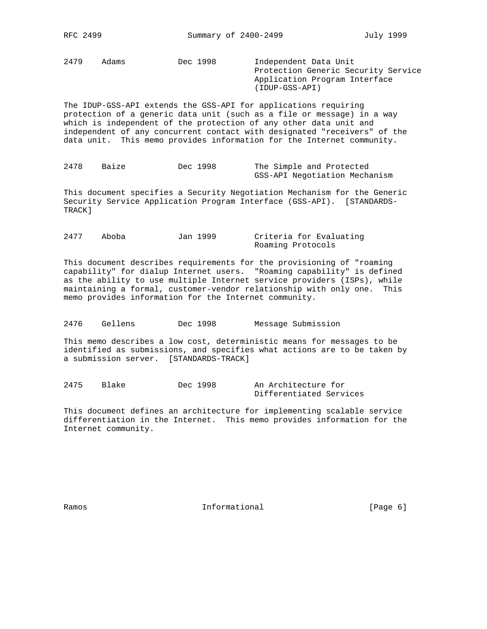2479 Adams Dec 1998 Independent Data Unit Protection Generic Security Service Application Program Interface (IDUP-GSS-API)

The IDUP-GSS-API extends the GSS-API for applications requiring protection of a generic data unit (such as a file or message) in a way which is independent of the protection of any other data unit and independent of any concurrent contact with designated "receivers" of the data unit. This memo provides information for the Internet community.

```
2478 Baize Dec 1998 The Simple and Protected
                     GSS-API Negotiation Mechanism
```
This document specifies a Security Negotiation Mechanism for the Generic Security Service Application Program Interface (GSS-API). [STANDARDS-TRACK]

2477 Aboba Jan 1999 Criteria for Evaluating Roaming Protocols

This document describes requirements for the provisioning of "roaming capability" for dialup Internet users. "Roaming capability" is defined as the ability to use multiple Internet service providers (ISPs), while maintaining a formal, customer-vendor relationship with only one. This memo provides information for the Internet community.

2476 Gellens Dec 1998 Message Submission

This memo describes a low cost, deterministic means for messages to be identified as submissions, and specifies what actions are to be taken by a submission server. [STANDARDS-TRACK]

2475 Blake Dec 1998 An Architecture for Differentiated Services

This document defines an architecture for implementing scalable service differentiation in the Internet. This memo provides information for the Internet community.

Ramos **Example 2018** Informational **Ramos** [Page 6]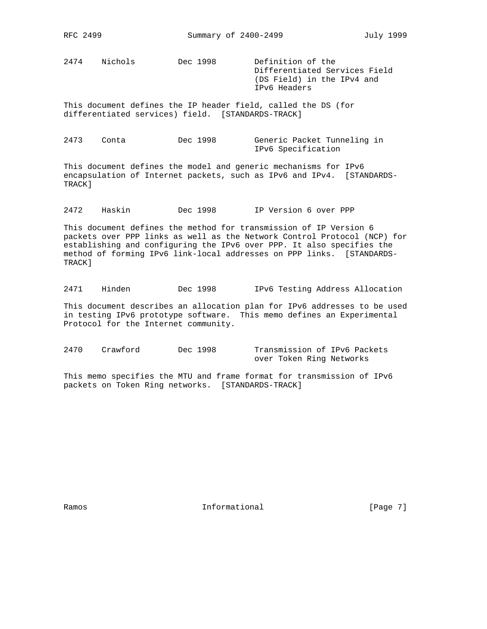2474 Nichols Dec 1998 Definition of the

 Differentiated Services Field (DS Field) in the IPv4 and IPv6 Headers

This document defines the IP header field, called the DS (for differentiated services) field. [STANDARDS-TRACK]

| 2473 | Conta | Dec 1998 | Generic Packet Tunneling in |
|------|-------|----------|-----------------------------|
|      |       |          | IPv6 Specification          |

This document defines the model and generic mechanisms for IPv6 encapsulation of Internet packets, such as IPv6 and IPv4. [STANDARDS-TRACK]

2472 Haskin Dec 1998 IP Version 6 over PPP

This document defines the method for transmission of IP Version 6 packets over PPP links as well as the Network Control Protocol (NCP) for establishing and configuring the IPv6 over PPP. It also specifies the method of forming IPv6 link-local addresses on PPP links. [STANDARDS-TRACK]

2471 Hinden Dec 1998 IPv6 Testing Address Allocation

This document describes an allocation plan for IPv6 addresses to be used in testing IPv6 prototype software. This memo defines an Experimental Protocol for the Internet community.

2470 Crawford Dec 1998 Transmission of IPv6 Packets over Token Ring Networks

This memo specifies the MTU and frame format for transmission of IPv6 packets on Token Ring networks. [STANDARDS-TRACK]

Ramos **Informational Informational** [Page 7]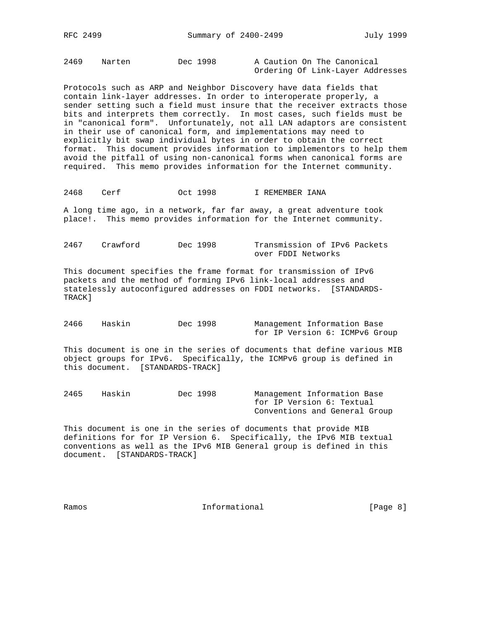2469 Narten Dec 1998 A Caution On The Canonical Ordering Of Link-Layer Addresses

Protocols such as ARP and Neighbor Discovery have data fields that contain link-layer addresses. In order to interoperate properly, a sender setting such a field must insure that the receiver extracts those bits and interprets them correctly. In most cases, such fields must be in "canonical form". Unfortunately, not all LAN adaptors are consistent in their use of canonical form, and implementations may need to explicitly bit swap individual bytes in order to obtain the correct format. This document provides information to implementors to help them avoid the pitfall of using non-canonical forms when canonical forms are required. This memo provides information for the Internet community.

2468 Cerf Oct 1998 I REMEMBER IANA

A long time ago, in a network, far far away, a great adventure took place!. This memo provides information for the Internet community.

2467 Crawford Dec 1998 Transmission of IPv6 Packets over FDDI Networks

This document specifies the frame format for transmission of IPv6 packets and the method of forming IPv6 link-local addresses and statelessly autoconfigured addresses on FDDI networks. [STANDARDS-TRACK]

| 2466 | Haskin | Dec 1998 | Management Information Base    |
|------|--------|----------|--------------------------------|
|      |        |          | for IP Version 6: ICMPv6 Group |

This document is one in the series of documents that define various MIB object groups for IPv6. Specifically, the ICMPv6 group is defined in this document. [STANDARDS-TRACK]

2465 Haskin Dec 1998 Management Information Base for IP Version 6: Textual Conventions and General Group

This document is one in the series of documents that provide MIB definitions for for IP Version 6. Specifically, the IPv6 MIB textual conventions as well as the IPv6 MIB General group is defined in this document. [STANDARDS-TRACK]

Ramos **Example 1** Informational **Example 1** (Page 8)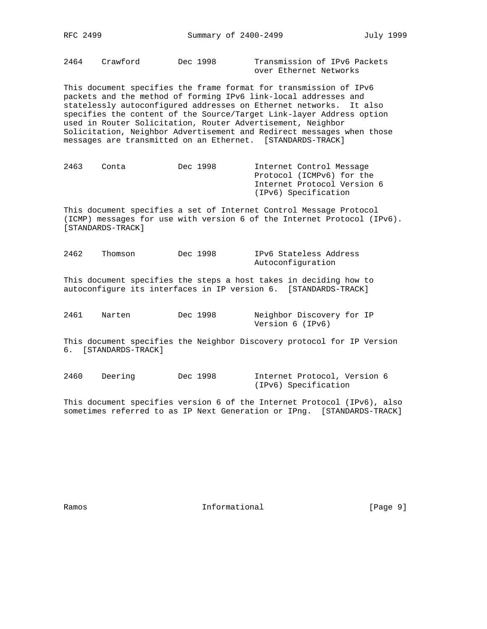2464 Crawford Dec 1998 Transmission of IPv6 Packets over Ethernet Networks

This document specifies the frame format for transmission of IPv6 packets and the method of forming IPv6 link-local addresses and statelessly autoconfigured addresses on Ethernet networks. It also specifies the content of the Source/Target Link-layer Address option used in Router Solicitation, Router Advertisement, Neighbor Solicitation, Neighbor Advertisement and Redirect messages when those messages are transmitted on an Ethernet. [STANDARDS-TRACK]

| 2463 | Conta | Dec 1998 | Internet Control Message    |
|------|-------|----------|-----------------------------|
|      |       |          | Protocol (ICMPv6) for the   |
|      |       |          | Internet Protocol Version 6 |
|      |       |          | (IPv6) Specification        |

This document specifies a set of Internet Control Message Protocol (ICMP) messages for use with version 6 of the Internet Protocol (IPv6). [STANDARDS-TRACK]

2462 Thomson Dec 1998 IPv6 Stateless Address Autoconfiguration

This document specifies the steps a host takes in deciding how to autoconfigure its interfaces in IP version 6. [STANDARDS-TRACK]

2461 Narten Dec 1998 Neighbor Discovery for IP Version 6 (IPv6)

This document specifies the Neighbor Discovery protocol for IP Version 6. [STANDARDS-TRACK]

2460 Deering Dec 1998 Internet Protocol, Version 6 (IPv6) Specification

This document specifies version 6 of the Internet Protocol (IPv6), also sometimes referred to as IP Next Generation or IPng. [STANDARDS-TRACK]

Ramos **Example 1** Informational **Example 1** (Page 9)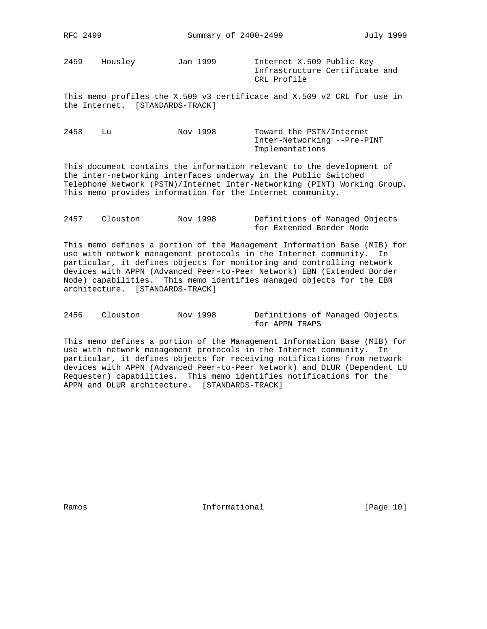2459 Housley Jan 1999 Internet X.509 Public Key

 Infrastructure Certificate and CRL Profile

This memo profiles the X.509 v3 certificate and X.509 v2 CRL for use in the Internet. [STANDARDS-TRACK]

| 2458 | Nov 1998 | Toward the PSTN/Internet    |
|------|----------|-----------------------------|
|      |          | Inter-Networking --Pre-PINT |
|      |          | Implementations             |

This document contains the information relevant to the development of the inter-networking interfaces underway in the Public Switched Telephone Network (PSTN)/Internet Inter-Networking (PINT) Working Group. This memo provides information for the Internet community.

| 2457 | Clouston | Nov 1998 | Definitions of Managed Objects |
|------|----------|----------|--------------------------------|
|      |          |          | for Extended Border Node       |

This memo defines a portion of the Management Information Base (MIB) for use with network management protocols in the Internet community. In particular, it defines objects for monitoring and controlling network devices with APPN (Advanced Peer-to-Peer Network) EBN (Extended Border Node) capabilities. This memo identifies managed objects for the EBN architecture. [STANDARDS-TRACK]

| 2456 | Clouston | Nov 1998 | Definitions of Managed Objects |  |  |
|------|----------|----------|--------------------------------|--|--|
|      |          |          | for APPN TRAPS                 |  |  |

This memo defines a portion of the Management Information Base (MIB) for use with network management protocols in the Internet community. In particular, it defines objects for receiving notifications from network devices with APPN (Advanced Peer-to-Peer Network) and DLUR (Dependent LU Requester) capabilities. This memo identifies notifications for the APPN and DLUR architecture. [STANDARDS-TRACK]

Ramos **Informational Informational** [Page 10]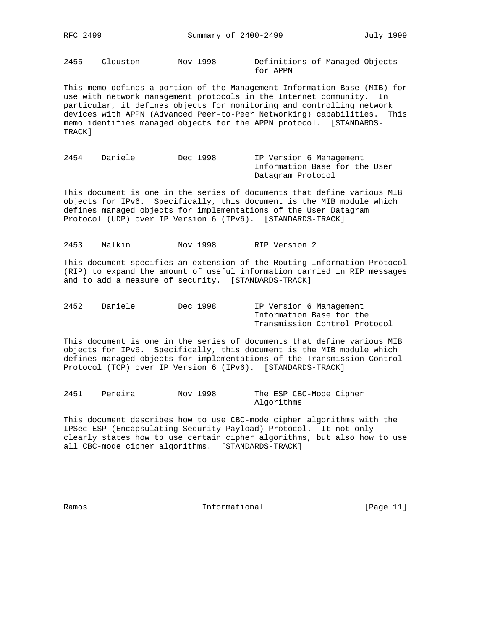2455 Clouston Nov 1998 Definitions of Managed Objects for APPN

This memo defines a portion of the Management Information Base (MIB) for use with network management protocols in the Internet community. In particular, it defines objects for monitoring and controlling network devices with APPN (Advanced Peer-to-Peer Networking) capabilities. This memo identifies managed objects for the APPN protocol. [STANDARDS-TRACK]

2454 Daniele Dec 1998 IP Version 6 Management Information Base for the User Datagram Protocol

This document is one in the series of documents that define various MIB objects for IPv6. Specifically, this document is the MIB module which defines managed objects for implementations of the User Datagram Protocol (UDP) over IP Version 6 (IPv6). [STANDARDS-TRACK]

2453 Malkin Nov 1998 RIP Version 2

This document specifies an extension of the Routing Information Protocol (RIP) to expand the amount of useful information carried in RIP messages and to add a measure of security. [STANDARDS-TRACK]

| 2452 | Daniele | Dec 1998 | IP Version 6 Management       |
|------|---------|----------|-------------------------------|
|      |         |          | Information Base for the      |
|      |         |          | Transmission Control Protocol |

This document is one in the series of documents that define various MIB objects for IPv6. Specifically, this document is the MIB module which defines managed objects for implementations of the Transmission Control Protocol (TCP) over IP Version 6 (IPv6). [STANDARDS-TRACK]

2451 Pereira Nov 1998 The ESP CBC-Mode Cipher Algorithms

This document describes how to use CBC-mode cipher algorithms with the IPSec ESP (Encapsulating Security Payload) Protocol. It not only clearly states how to use certain cipher algorithms, but also how to use all CBC-mode cipher algorithms. [STANDARDS-TRACK]

Ramos **Informational Informational** [Page 11]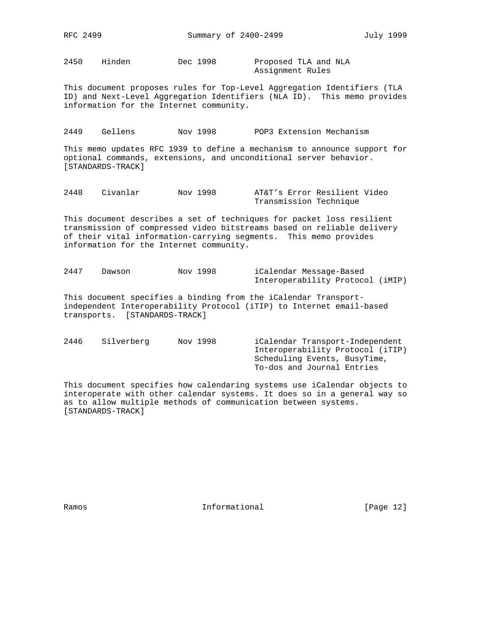2450 Hinden Dec 1998 Proposed TLA and NLA

Assignment Rules

This document proposes rules for Top-Level Aggregation Identifiers (TLA ID) and Next-Level Aggregation Identifiers (NLA ID). This memo provides information for the Internet community.

2449 Gellens Nov 1998 POP3 Extension Mechanism

This memo updates RFC 1939 to define a mechanism to announce support for optional commands, extensions, and unconditional server behavior. [STANDARDS-TRACK]

2448 Civanlar Nov 1998 AT&T's Error Resilient Video Transmission Technique

This document describes a set of techniques for packet loss resilient transmission of compressed video bitstreams based on reliable delivery of their vital information-carrying segments. This memo provides information for the Internet community.

| 2447 | Dawson | Nov 1998 | iCalendar Message-Based          |  |
|------|--------|----------|----------------------------------|--|
|      |        |          | Interoperability Protocol (iMIP) |  |

This document specifies a binding from the iCalendar Transportindependent Interoperability Protocol (iTIP) to Internet email-based transports. [STANDARDS-TRACK]

2446 Silverberg Nov 1998 iCalendar Transport-Independent Interoperability Protocol (iTIP) Scheduling Events, BusyTime, To-dos and Journal Entries

This document specifies how calendaring systems use iCalendar objects to interoperate with other calendar systems. It does so in a general way so as to allow multiple methods of communication between systems. [STANDARDS-TRACK]

Ramos **Informational Informational** [Page 12]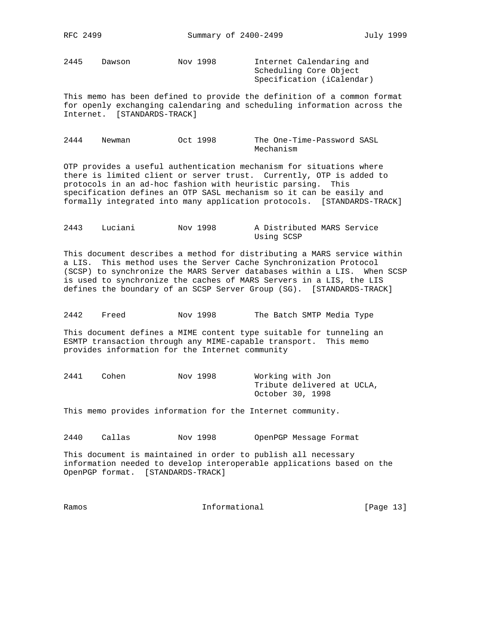2445 Dawson Nov 1998 Internet Calendaring and

 Scheduling Core Object Specification (iCalendar)

This memo has been defined to provide the definition of a common format for openly exchanging calendaring and scheduling information across the Internet. [STANDARDS-TRACK]

| 2444 | Newman | Oct 1998 | The One-Time-Password SASL |
|------|--------|----------|----------------------------|
|      |        |          | Mechanism                  |

OTP provides a useful authentication mechanism for situations where there is limited client or server trust. Currently, OTP is added to protocols in an ad-hoc fashion with heuristic parsing. This specification defines an OTP SASL mechanism so it can be easily and formally integrated into many application protocols. [STANDARDS-TRACK]

| 2443 | Luciani | Nov 1998 | A Distributed MARS Service |  |
|------|---------|----------|----------------------------|--|
|      |         |          | Using SCSP                 |  |

This document describes a method for distributing a MARS service within a LIS. This method uses the Server Cache Synchronization Protocol (SCSP) to synchronize the MARS Server databases within a LIS. When SCSP is used to synchronize the caches of MARS Servers in a LIS, the LIS defines the boundary of an SCSP Server Group (SG). [STANDARDS-TRACK]

2442 Freed Nov 1998 The Batch SMTP Media Type

This document defines a MIME content type suitable for tunneling an ESMTP transaction through any MIME-capable transport. This memo provides information for the Internet community

| 2441 | Cohen | Nov 1998 | Working with Jon           |  |
|------|-------|----------|----------------------------|--|
|      |       |          | Tribute delivered at UCLA, |  |
|      |       |          | October 30, 1998           |  |

This memo provides information for the Internet community.

2440 Callas Nov 1998 OpenPGP Message Format

This document is maintained in order to publish all necessary information needed to develop interoperable applications based on the OpenPGP format. [STANDARDS-TRACK]

Ramos **Informational Informational** [Page 13]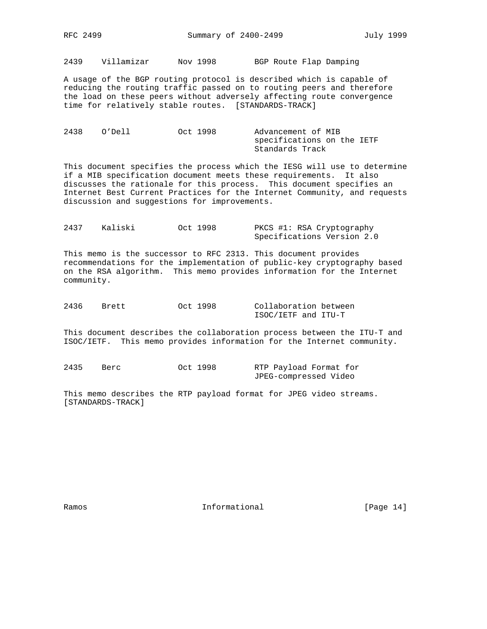2439 Villamizar Nov 1998 BGP Route Flap Damping

A usage of the BGP routing protocol is described which is capable of reducing the routing traffic passed on to routing peers and therefore the load on these peers without adversely affecting route convergence time for relatively stable routes. [STANDARDS-TRACK]

| 2438 | O'Dell | Oct 1998 | Advancement of MIB         |
|------|--------|----------|----------------------------|
|      |        |          | specifications on the IETF |
|      |        |          | Standards Track            |

This document specifies the process which the IESG will use to determine if a MIB specification document meets these requirements. It also discusses the rationale for this process. This document specifies an Internet Best Current Practices for the Internet Community, and requests discussion and suggestions for improvements.

| 2437 | Kaliski | Oct 1998 | PKCS #1: RSA Cryptography  |
|------|---------|----------|----------------------------|
|      |         |          | Specifications Version 2.0 |

This memo is the successor to RFC 2313. This document provides recommendations for the implementation of public-key cryptography based on the RSA algorithm. This memo provides information for the Internet community.

| 2436 | Brett | Oct 1998 | Collaboration between |  |  |
|------|-------|----------|-----------------------|--|--|
|      |       |          | ISOC/IETF and ITU-T   |  |  |

This document describes the collaboration process between the ITU-T and ISOC/IETF. This memo provides information for the Internet community.

| 2435 | Berc | Oct 1998 | RTP Payload Format for |  |  |
|------|------|----------|------------------------|--|--|
|      |      |          | JPEG-compressed Video  |  |  |

This memo describes the RTP payload format for JPEG video streams. [STANDARDS-TRACK]

Ramos **Example 14** Informational **Example 14** [Page 14]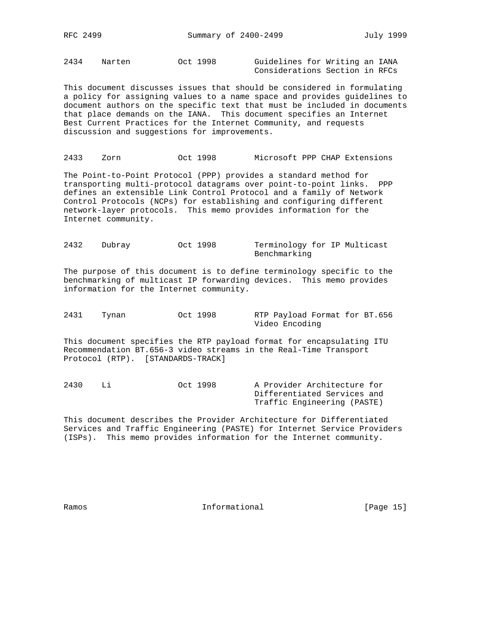2434 Narten Oct 1998 Guidelines for Writing an IANA Considerations Section in RFCs

This document discusses issues that should be considered in formulating a policy for assigning values to a name space and provides guidelines to document authors on the specific text that must be included in documents that place demands on the IANA. This document specifies an Internet Best Current Practices for the Internet Community, and requests discussion and suggestions for improvements.

2433 Zorn Oct 1998 Microsoft PPP CHAP Extensions

The Point-to-Point Protocol (PPP) provides a standard method for transporting multi-protocol datagrams over point-to-point links. PPP defines an extensible Link Control Protocol and a family of Network Control Protocols (NCPs) for establishing and configuring different network-layer protocols. This memo provides information for the Internet community.

2432 Dubray Oct 1998 Terminology for IP Multicast Benchmarking

The purpose of this document is to define terminology specific to the benchmarking of multicast IP forwarding devices. This memo provides information for the Internet community.

2431 Tynan Oct 1998 RTP Payload Format for BT.656 Video Encoding

This document specifies the RTP payload format for encapsulating ITU Recommendation BT.656-3 video streams in the Real-Time Transport Protocol (RTP). [STANDARDS-TRACK]

2430 Li Oct 1998 A Provider Architecture for Differentiated Services and Traffic Engineering (PASTE)

This document describes the Provider Architecture for Differentiated Services and Traffic Engineering (PASTE) for Internet Service Providers (ISPs). This memo provides information for the Internet community.

Ramos **Informational Informational** [Page 15]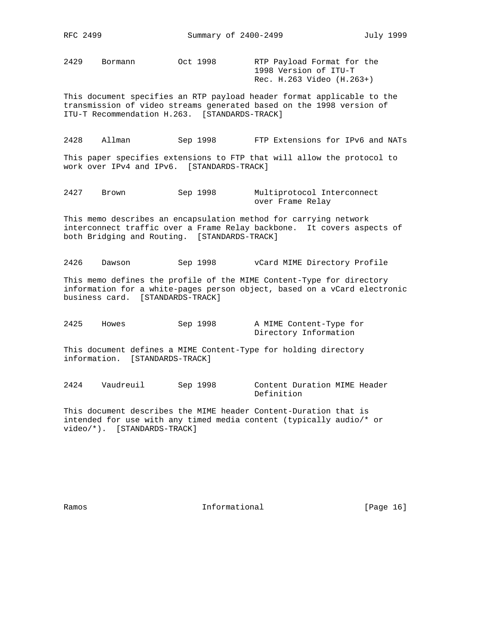2429 Bormann Oct 1998 RTP Payload Format for the

 1998 Version of ITU-T Rec. H.263 Video (H.263+)

This document specifies an RTP payload header format applicable to the transmission of video streams generated based on the 1998 version of ITU-T Recommendation H.263. [STANDARDS-TRACK]

2428 Allman Sep 1998 FTP Extensions for IPv6 and NATs

This paper specifies extensions to FTP that will allow the protocol to work over IPv4 and IPv6. [STANDARDS-TRACK]

2427 Brown Sep 1998 Multiprotocol Interconnect over Frame Relay

This memo describes an encapsulation method for carrying network interconnect traffic over a Frame Relay backbone. It covers aspects of both Bridging and Routing. [STANDARDS-TRACK]

2426 Dawson Sep 1998 vCard MIME Directory Profile

This memo defines the profile of the MIME Content-Type for directory information for a white-pages person object, based on a vCard electronic business card. [STANDARDS-TRACK]

2425 Howes Sep 1998 A MIME Content-Type for Directory Information

This document defines a MIME Content-Type for holding directory information. [STANDARDS-TRACK]

2424 Vaudreuil Sep 1998 Content Duration MIME Header Definition

This document describes the MIME header Content-Duration that is intended for use with any timed media content (typically audio/\* or video/\*). [STANDARDS-TRACK]

Ramos **Informational Informational** [Page 16]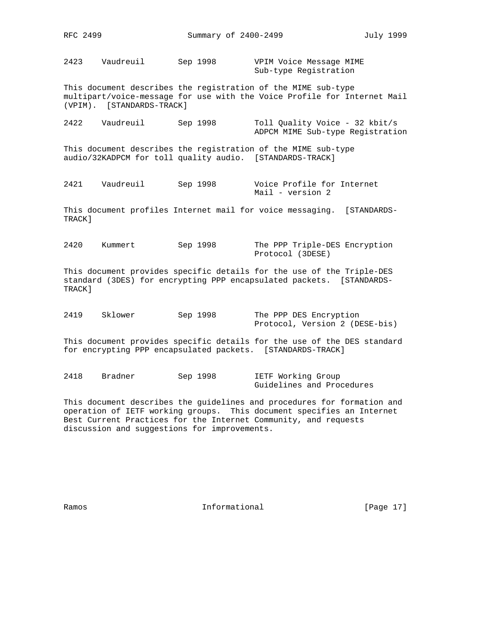2423 Vaudreuil Sep 1998 VPIM Voice Message MIME Sub-type Registration

This document describes the registration of the MIME sub-type multipart/voice-message for use with the Voice Profile for Internet Mail (VPIM). [STANDARDS-TRACK]

| 2422 | Vaudreuil | Sep 1998 | Toll Ouality Voice - 32 kbit/s   |
|------|-----------|----------|----------------------------------|
|      |           |          | ADPCM MIME Sub-type Registration |

This document describes the registration of the MIME sub-type audio/32KADPCM for toll quality audio. [STANDARDS-TRACK]

2421 Vaudreuil Sep 1998 Voice Profile for Internet Mail - version 2

This document profiles Internet mail for voice messaging. [STANDARDS-TRACK]

2420 Kummert Sep 1998 The PPP Triple-DES Encryption Protocol (3DESE)

This document provides specific details for the use of the Triple-DES standard (3DES) for encrypting PPP encapsulated packets. [STANDARDS-TRACK]

| 2419 | Sklower | Sep 1998 | The PPP DES Encryption         |
|------|---------|----------|--------------------------------|
|      |         |          | Protocol, Version 2 (DESE-bis) |

This document provides specific details for the use of the DES standard for encrypting PPP encapsulated packets. [STANDARDS-TRACK]

2418 Bradner Sep 1998 IETF Working Group Guidelines and Procedures

This document describes the guidelines and procedures for formation and operation of IETF working groups. This document specifies an Internet Best Current Practices for the Internet Community, and requests discussion and suggestions for improvements.

Ramos **Informational Informational** [Page 17]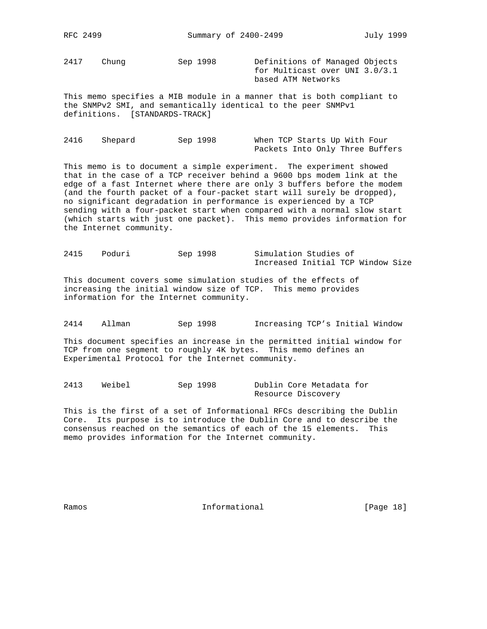2417 Chung Sep 1998 Definitions of Managed Objects

 for Multicast over UNI 3.0/3.1 based ATM Networks

This memo specifies a MIB module in a manner that is both compliant to the SNMPv2 SMI, and semantically identical to the peer SNMPv1 definitions. [STANDARDS-TRACK]

| 2416 | Shepard | Sep 1998 |  |  | When TCP Starts Up With Four |                                 |
|------|---------|----------|--|--|------------------------------|---------------------------------|
|      |         |          |  |  |                              | Packets Into Only Three Buffers |

This memo is to document a simple experiment. The experiment showed that in the case of a TCP receiver behind a 9600 bps modem link at the edge of a fast Internet where there are only 3 buffers before the modem (and the fourth packet of a four-packet start will surely be dropped), no significant degradation in performance is experienced by a TCP sending with a four-packet start when compared with a normal slow start (which starts with just one packet). This memo provides information for the Internet community.

2415 Poduri Sep 1998 Simulation Studies of Increased Initial TCP Window Size

This document covers some simulation studies of the effects of increasing the initial window size of TCP. This memo provides information for the Internet community.

2414 Allman Sep 1998 Increasing TCP's Initial Window

This document specifies an increase in the permitted initial window for TCP from one segment to roughly 4K bytes. This memo defines an Experimental Protocol for the Internet community.

2413 Weibel Sep 1998 Dublin Core Metadata for Resource Discovery

This is the first of a set of Informational RFCs describing the Dublin Core. Its purpose is to introduce the Dublin Core and to describe the consensus reached on the semantics of each of the 15 elements. This memo provides information for the Internet community.

Ramos **Informational Informational** [Page 18]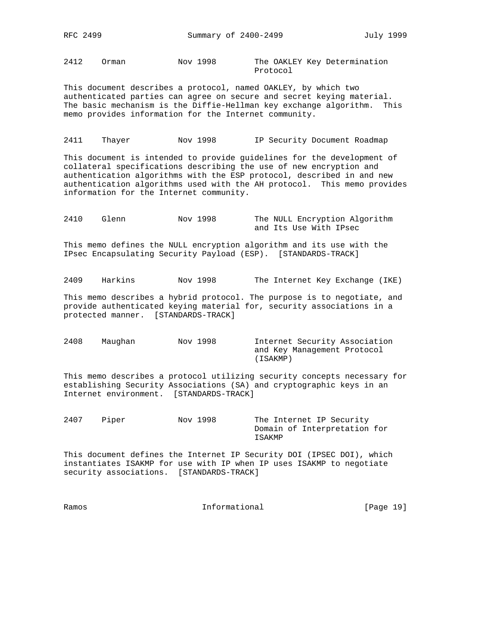RFC 2499 Summary of 2400-2499 July 1999

2412 Orman Nov 1998 The OAKLEY Key Determination

Protocol

This document describes a protocol, named OAKLEY, by which two authenticated parties can agree on secure and secret keying material. The basic mechanism is the Diffie-Hellman key exchange algorithm. This memo provides information for the Internet community.

2411 Thayer Nov 1998 IP Security Document Roadmap

This document is intended to provide guidelines for the development of collateral specifications describing the use of new encryption and authentication algorithms with the ESP protocol, described in and new authentication algorithms used with the AH protocol. This memo provides information for the Internet community.

| 2410 | Glenn | Nov 1998 |  |  |                        | The NULL Encryption Algorithm |
|------|-------|----------|--|--|------------------------|-------------------------------|
|      |       |          |  |  | and Its Use With IPsec |                               |

This memo defines the NULL encryption algorithm and its use with the IPsec Encapsulating Security Payload (ESP). [STANDARDS-TRACK]

2409 Harkins Nov 1998 The Internet Key Exchange (IKE)

This memo describes a hybrid protocol. The purpose is to negotiate, and provide authenticated keying material for, security associations in a protected manner. [STANDARDS-TRACK]

2408 Maughan Nov 1998 Internet Security Association and Key Management Protocol (ISAKMP)

This memo describes a protocol utilizing security concepts necessary for establishing Security Associations (SA) and cryptographic keys in an Internet environment. [STANDARDS-TRACK]

2407 Piper Nov 1998 The Internet IP Security Domain of Interpretation for ISAKMP

This document defines the Internet IP Security DOI (IPSEC DOI), which instantiates ISAKMP for use with IP when IP uses ISAKMP to negotiate security associations. [STANDARDS-TRACK]

Ramos **Informational Informational** [Page 19]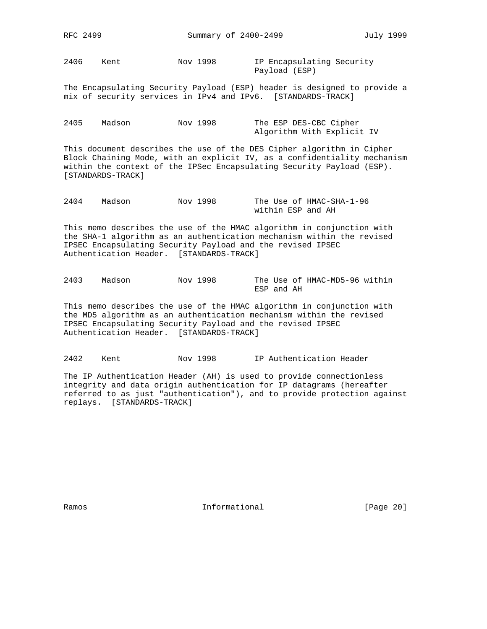RFC 2499 Summary of 2400-2499 July 1999

2406 Kent Nov 1998 IP Encapsulating Security Payload (ESP)

The Encapsulating Security Payload (ESP) header is designed to provide a mix of security services in IPv4 and IPv6. [STANDARDS-TRACK]

| 2405 | Madson | Nov 1998 | The ESP DES-CBC Cipher     |  |  |  |
|------|--------|----------|----------------------------|--|--|--|
|      |        |          | Algorithm With Explicit IV |  |  |  |

This document describes the use of the DES Cipher algorithm in Cipher Block Chaining Mode, with an explicit IV, as a confidentiality mechanism within the context of the IPSec Encapsulating Security Payload (ESP). [STANDARDS-TRACK]

| 2404 | Madson | Nov 1998 |                   | The Use of HMAC-SHA-1-96 |
|------|--------|----------|-------------------|--------------------------|
|      |        |          | within ESP and AH |                          |

This memo describes the use of the HMAC algorithm in conjunction with the SHA-1 algorithm as an authentication mechanism within the revised IPSEC Encapsulating Security Payload and the revised IPSEC Authentication Header. [STANDARDS-TRACK]

| 2403 | Madson | Nov 1998 |            | The Use of HMAC-MD5-96 within |  |
|------|--------|----------|------------|-------------------------------|--|
|      |        |          | ESP and AH |                               |  |

This memo describes the use of the HMAC algorithm in conjunction with the MD5 algorithm as an authentication mechanism within the revised IPSEC Encapsulating Security Payload and the revised IPSEC Authentication Header. [STANDARDS-TRACK]

2402 Kent Nov 1998 IP Authentication Header

The IP Authentication Header (AH) is used to provide connectionless integrity and data origin authentication for IP datagrams (hereafter referred to as just "authentication"), and to provide protection against replays. [STANDARDS-TRACK]

Ramos **Informational Informational** [Page 20]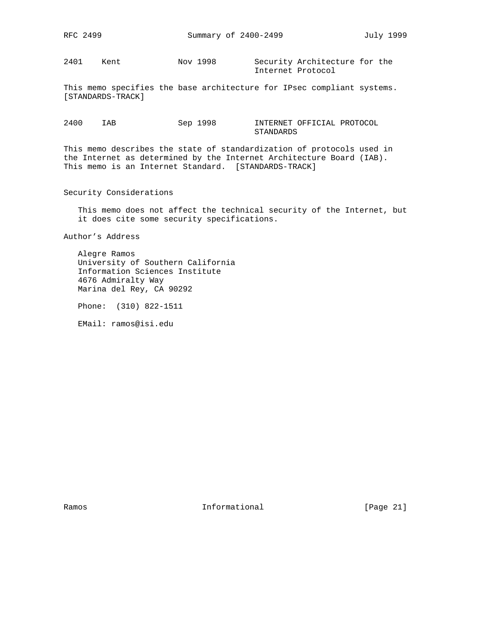2401 Kent Nov 1998 Security Architecture for the Internet Protocol

This memo specifies the base architecture for IPsec compliant systems. [STANDARDS-TRACK]

2400 IAB Sep 1998 INTERNET OFFICIAL PROTOCOL STANDARDS

This memo describes the state of standardization of protocols used in the Internet as determined by the Internet Architecture Board (IAB). This memo is an Internet Standard. [STANDARDS-TRACK]

Security Considerations

 This memo does not affect the technical security of the Internet, but it does cite some security specifications.

Author's Address

 Alegre Ramos University of Southern California Information Sciences Institute 4676 Admiralty Way Marina del Rey, CA 90292

Phone: (310) 822-1511

EMail: ramos@isi.edu

Ramos **Informational Informational** [Page 21]